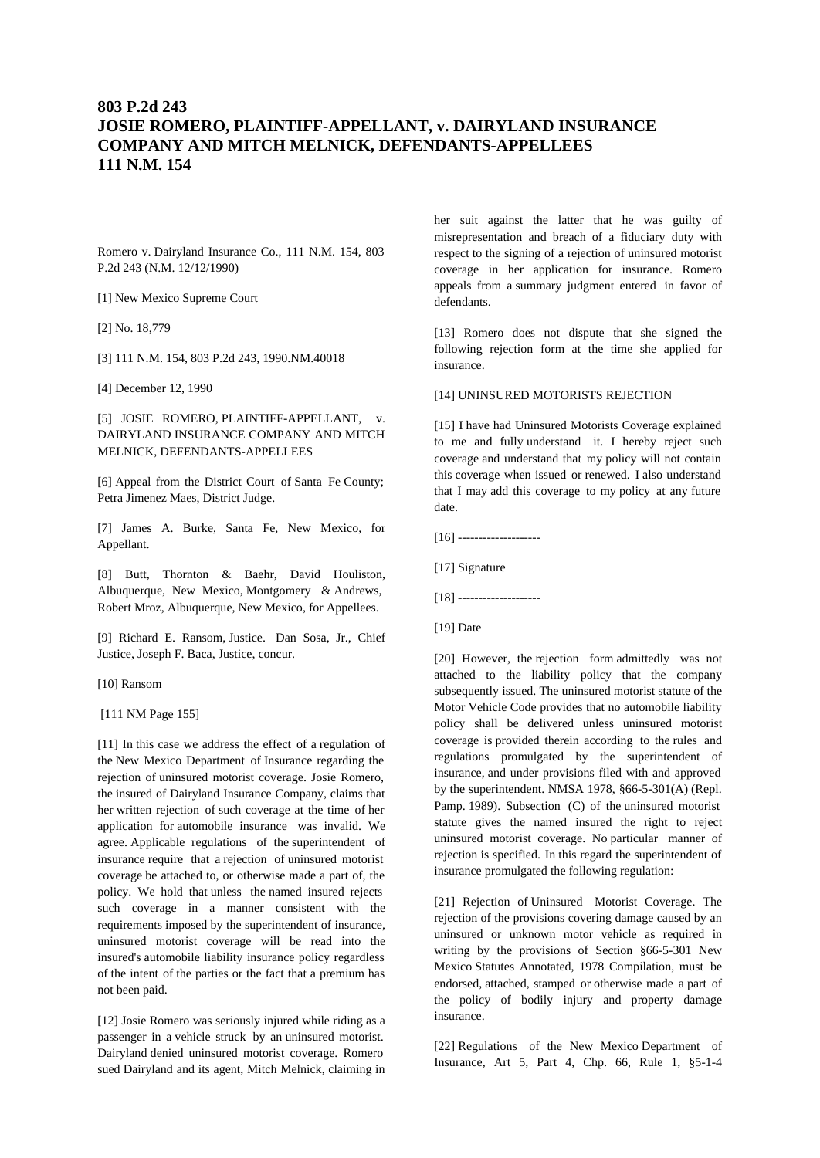# **803 P.2d 243 JOSIE ROMERO, PLAINTIFF-APPELLANT, v. DAIRYLAND INSURANCE COMPANY AND MITCH MELNICK, DEFENDANTS-APPELLEES 111 N.M. 154**

Romero v. Dairyland Insurance Co., 111 N.M. 154, 803 P.2d 243 (N.M. 12/12/1990)

[1] New Mexico Supreme Court

[2] No. 18,779

[3] 111 N.M. 154, 803 P.2d 243, 1990.NM.40018

[4] December 12, 1990

[5] JOSIE ROMERO, PLAINTIFF-APPELLANT, v. DAIRYLAND INSURANCE COMPANY AND MITCH MELNICK, DEFENDANTS-APPELLEES

[6] Appeal from the District Court of Santa Fe County; Petra Jimenez Maes, District Judge.

[7] James A. Burke, Santa Fe, New Mexico, for Appellant.

[8] Butt, Thornton & Baehr, David Houliston, Albuquerque, New Mexico, Montgomery & Andrews, Robert Mroz, Albuquerque, New Mexico, for Appellees.

[9] Richard E. Ransom, Justice. Dan Sosa, Jr., Chief Justice, Joseph F. Baca, Justice, concur.

[10] Ransom

[111 NM Page 155]

[11] In this case we address the effect of a regulation of the New Mexico Department of Insurance regarding the rejection of uninsured motorist coverage. Josie Romero, the insured of Dairyland Insurance Company, claims that her written rejection of such coverage at the time of her application for automobile insurance was invalid. We agree. Applicable regulations of the superintendent of insurance require that a rejection of uninsured motorist coverage be attached to, or otherwise made a part of, the policy. We hold that unless the named insured rejects such coverage in a manner consistent with the requirements imposed by the superintendent of insurance, uninsured motorist coverage will be read into the insured's automobile liability insurance policy regardless of the intent of the parties or the fact that a premium has not been paid.

[12] Josie Romero was seriously injured while riding as a passenger in a vehicle struck by an uninsured motorist. Dairyland denied uninsured motorist coverage. Romero sued Dairyland and its agent, Mitch Melnick, claiming in her suit against the latter that he was guilty of misrepresentation and breach of a fiduciary duty with respect to the signing of a rejection of uninsured motorist coverage in her application for insurance. Romero appeals from a summary judgment entered in favor of defendants.

[13] Romero does not dispute that she signed the following rejection form at the time she applied for insurance.

[14] UNINSURED MOTORISTS REJECTION

[15] I have had Uninsured Motorists Coverage explained to me and fully understand it. I hereby reject such coverage and understand that my policy will not contain this coverage when issued or renewed. I also understand that I may add this coverage to my policy at any future date.

 $[16]$  ----------------------

[17] Signature

[18] --------------------

[19] Date

[20] However, the rejection form admittedly was not attached to the liability policy that the company subsequently issued. The uninsured motorist statute of the Motor Vehicle Code provides that no automobile liability policy shall be delivered unless uninsured motorist coverage is provided therein according to the rules and regulations promulgated by the superintendent of insurance, and under provisions filed with and approved by the superintendent. NMSA 1978, §66-5-301(A) (Repl. Pamp. 1989). Subsection (C) of the uninsured motorist statute gives the named insured the right to reject uninsured motorist coverage. No particular manner of rejection is specified. In this regard the superintendent of insurance promulgated the following regulation:

[21] Rejection of Uninsured Motorist Coverage. The rejection of the provisions covering damage caused by an uninsured or unknown motor vehicle as required in writing by the provisions of Section §66-5-301 New Mexico Statutes Annotated, 1978 Compilation, must be endorsed, attached, stamped or otherwise made a part of the policy of bodily injury and property damage insurance.

[22] Regulations of the New Mexico Department of Insurance, Art 5, Part 4, Chp. 66, Rule 1, §5-1-4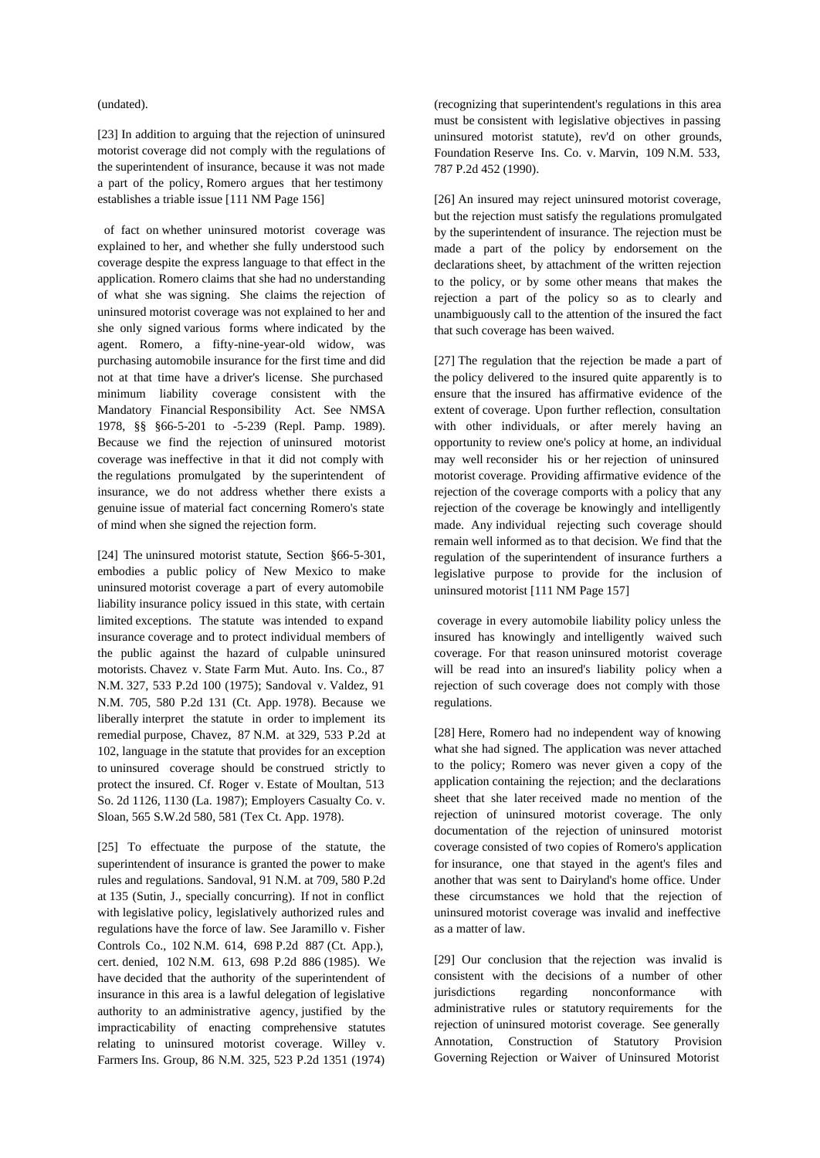### (undated).

[23] In addition to arguing that the rejection of uninsured motorist coverage did not comply with the regulations of the superintendent of insurance, because it was not made a part of the policy, Romero argues that her testimony establishes a triable issue [111 NM Page 156]

of fact on whether uninsured motorist coverage was explained to her, and whether she fully understood such coverage despite the express language to that effect in the application. Romero claims that she had no understanding of what she was signing. She claims the rejection of uninsured motorist coverage was not explained to her and she only signed various forms where indicated by the agent. Romero, a fifty-nine-year-old widow, was purchasing automobile insurance for the first time and did not at that time have a driver's license. She purchased minimum liability coverage consistent with the Mandatory Financial Responsibility Act. See NMSA 1978, §§ §66-5-201 to -5-239 (Repl. Pamp. 1989). Because we find the rejection of uninsured motorist coverage was ineffective in that it did not comply with the regulations promulgated by the superintendent of insurance, we do not address whether there exists a genuine issue of material fact concerning Romero's state of mind when she signed the rejection form.

[24] The uninsured motorist statute, Section §66-5-301, embodies a public policy of New Mexico to make uninsured motorist coverage a part of every automobile liability insurance policy issued in this state, with certain limited exceptions. The statute was intended to expand insurance coverage and to protect individual members of the public against the hazard of culpable uninsured motorists. Chavez v. State Farm Mut. Auto. Ins. Co., 87 N.M. 327, 533 P.2d 100 (1975); Sandoval v. Valdez, 91 N.M. 705, 580 P.2d 131 (Ct. App. 1978). Because we liberally interpret the statute in order to implement its remedial purpose, Chavez, 87 N.M. at 329, 533 P.2d at 102, language in the statute that provides for an exception to uninsured coverage should be construed strictly to protect the insured. Cf. Roger v. Estate of Moultan, 513 So. 2d 1126, 1130 (La. 1987); Employers Casualty Co. v. Sloan, 565 S.W.2d 580, 581 (Tex Ct. App. 1978).

[25] To effectuate the purpose of the statute, the superintendent of insurance is granted the power to make rules and regulations. Sandoval, 91 N.M. at 709, 580 P.2d at 135 (Sutin, J., specially concurring). If not in conflict with legislative policy, legislatively authorized rules and regulations have the force of law. See Jaramillo v. Fisher Controls Co., 102 N.M. 614, 698 P.2d 887 (Ct. App.), cert. denied, 102 N.M. 613, 698 P.2d 886 (1985). We have decided that the authority of the superintendent of insurance in this area is a lawful delegation of legislative authority to an administrative agency, justified by the impracticability of enacting comprehensive statutes relating to uninsured motorist coverage. Willey v. Farmers Ins. Group, 86 N.M. 325, 523 P.2d 1351 (1974)

(recognizing that superintendent's regulations in this area must be consistent with legislative objectives in passing uninsured motorist statute), rev'd on other grounds, Foundation Reserve Ins. Co. v. Marvin, 109 N.M. 533, 787 P.2d 452 (1990).

[26] An insured may reject uninsured motorist coverage, but the rejection must satisfy the regulations promulgated by the superintendent of insurance. The rejection must be made a part of the policy by endorsement on the declarations sheet, by attachment of the written rejection to the policy, or by some other means that makes the rejection a part of the policy so as to clearly and unambiguously call to the attention of the insured the fact that such coverage has been waived.

[27] The regulation that the rejection be made a part of the policy delivered to the insured quite apparently is to ensure that the insured has affirmative evidence of the extent of coverage. Upon further reflection, consultation with other individuals, or after merely having an opportunity to review one's policy at home, an individual may well reconsider his or her rejection of uninsured motorist coverage. Providing affirmative evidence of the rejection of the coverage comports with a policy that any rejection of the coverage be knowingly and intelligently made. Any individual rejecting such coverage should remain well informed as to that decision. We find that the regulation of the superintendent of insurance furthers a legislative purpose to provide for the inclusion of uninsured motorist [111 NM Page 157]

 coverage in every automobile liability policy unless the insured has knowingly and intelligently waived such coverage. For that reason uninsured motorist coverage will be read into an insured's liability policy when a rejection of such coverage does not comply with those regulations.

[28] Here, Romero had no independent way of knowing what she had signed. The application was never attached to the policy; Romero was never given a copy of the application containing the rejection; and the declarations sheet that she later received made no mention of the rejection of uninsured motorist coverage. The only documentation of the rejection of uninsured motorist coverage consisted of two copies of Romero's application for insurance, one that stayed in the agent's files and another that was sent to Dairyland's home office. Under these circumstances we hold that the rejection of uninsured motorist coverage was invalid and ineffective as a matter of law.

[29] Our conclusion that the rejection was invalid is consistent with the decisions of a number of other regarding nonconformance with administrative rules or statutory requirements for the rejection of uninsured motorist coverage. See generally Annotation, Construction of Statutory Provision Governing Rejection or Waiver of Uninsured Motorist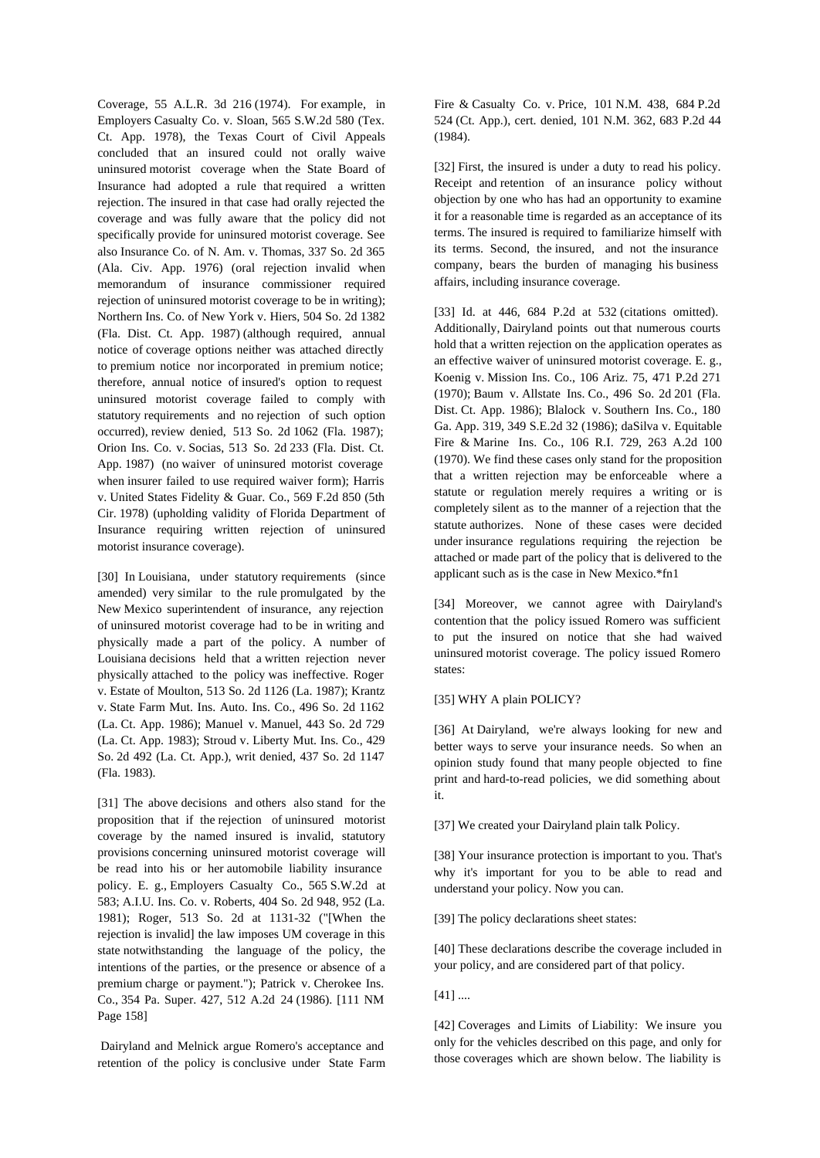Coverage, 55 A.L.R. 3d 216 (1974). For example, in Employers Casualty Co. v. Sloan, 565 S.W.2d 580 (Tex. Ct. App. 1978), the Texas Court of Civil Appeals concluded that an insured could not orally waive uninsured motorist coverage when the State Board of Insurance had adopted a rule that required a written rejection. The insured in that case had orally rejected the coverage and was fully aware that the policy did not specifically provide for uninsured motorist coverage. See also Insurance Co. of N. Am. v. Thomas, 337 So. 2d 365 (Ala. Civ. App. 1976) (oral rejection invalid when memorandum of insurance commissioner required rejection of uninsured motorist coverage to be in writing); Northern Ins. Co. of New York v. Hiers, 504 So. 2d 1382 (Fla. Dist. Ct. App. 1987) (although required, annual notice of coverage options neither was attached directly to premium notice nor incorporated in premium notice; therefore, annual notice of insured's option to request uninsured motorist coverage failed to comply with statutory requirements and no rejection of such option occurred), review denied, 513 So. 2d 1062 (Fla. 1987); Orion Ins. Co. v. Socias, 513 So. 2d 233 (Fla. Dist. Ct. App. 1987) (no waiver of uninsured motorist coverage when insurer failed to use required waiver form); Harris v. United States Fidelity & Guar. Co., 569 F.2d 850 (5th Cir. 1978) (upholding validity of Florida Department of Insurance requiring written rejection of uninsured motorist insurance coverage).

[30] In Louisiana, under statutory requirements (since amended) very similar to the rule promulgated by the New Mexico superintendent of insurance, any rejection of uninsured motorist coverage had to be in writing and physically made a part of the policy. A number of Louisiana decisions held that a written rejection never physically attached to the policy was ineffective. Roger v. Estate of Moulton, 513 So. 2d 1126 (La. 1987); Krantz v. State Farm Mut. Ins. Auto. Ins. Co., 496 So. 2d 1162 (La. Ct. App. 1986); Manuel v. Manuel, 443 So. 2d 729 (La. Ct. App. 1983); Stroud v. Liberty Mut. Ins. Co., 429 So. 2d 492 (La. Ct. App.), writ denied, 437 So. 2d 1147 (Fla. 1983).

[31] The above decisions and others also stand for the proposition that if the rejection of uninsured motorist coverage by the named insured is invalid, statutory provisions concerning uninsured motorist coverage will be read into his or her automobile liability insurance policy. E. g., Employers Casualty Co., 565 S.W.2d at 583; A.I.U. Ins. Co. v. Roberts, 404 So. 2d 948, 952 (La. 1981); Roger, 513 So. 2d at 1131-32 ("[When the rejection is invalid] the law imposes UM coverage in this state notwithstanding the language of the policy, the intentions of the parties, or the presence or absence of a premium charge or payment."); Patrick v. Cherokee Ins. Co., 354 Pa. Super. 427, 512 A.2d 24 (1986). [111 NM Page 158]

 Dairyland and Melnick argue Romero's acceptance and retention of the policy is conclusive under State Farm Fire & Casualty Co. v. Price, 101 N.M. 438, 684 P.2d 524 (Ct. App.), cert. denied, 101 N.M. 362, 683 P.2d 44 (1984).

[32] First, the insured is under a duty to read his policy. Receipt and retention of an insurance policy without objection by one who has had an opportunity to examine it for a reasonable time is regarded as an acceptance of its terms. The insured is required to familiarize himself with its terms. Second, the insured, and not the insurance company, bears the burden of managing his business affairs, including insurance coverage.

[33] Id. at 446, 684 P.2d at 532 (citations omitted). Additionally, Dairyland points out that numerous courts hold that a written rejection on the application operates as an effective waiver of uninsured motorist coverage. E. g., Koenig v. Mission Ins. Co., 106 Ariz. 75, 471 P.2d 271 (1970); Baum v. Allstate Ins. Co., 496 So. 2d 201 (Fla. Dist. Ct. App. 1986); Blalock v. Southern Ins. Co., 180 Ga. App. 319, 349 S.E.2d 32 (1986); daSilva v. Equitable Fire & Marine Ins. Co., 106 R.I. 729, 263 A.2d 100 (1970). We find these cases only stand for the proposition that a written rejection may be enforceable where a statute or regulation merely requires a writing or is completely silent as to the manner of a rejection that the statute authorizes. None of these cases were decided under insurance regulations requiring the rejection be attached or made part of the policy that is delivered to the applicant such as is the case in New Mexico.\*fn1

[34] Moreover, we cannot agree with Dairyland's contention that the policy issued Romero was sufficient to put the insured on notice that she had waived uninsured motorist coverage. The policy issued Romero states:

### [35] WHY A plain POLICY?

[36] At Dairyland, we're always looking for new and better ways to serve your insurance needs. So when an opinion study found that many people objected to fine print and hard-to-read policies, we did something about it.

[37] We created your Dairyland plain talk Policy.

[38] Your insurance protection is important to you. That's why it's important for you to be able to read and understand your policy. Now you can.

[39] The policy declarations sheet states:

[40] These declarations describe the coverage included in your policy, and are considered part of that policy.

[41] ....

[42] Coverages and Limits of Liability: We insure you only for the vehicles described on this page, and only for those coverages which are shown below. The liability is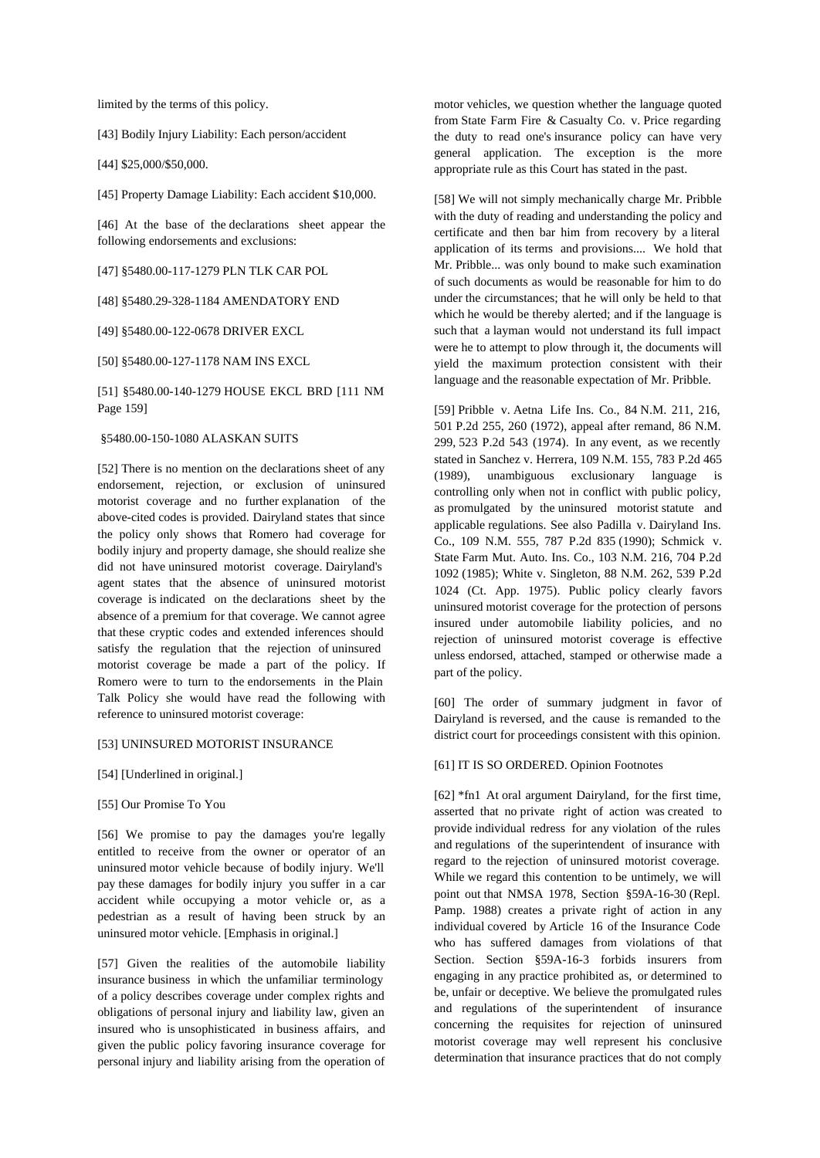limited by the terms of this policy.

[43] Bodily Injury Liability: Each person/accident

[44] \$25,000/\$50,000.

[45] Property Damage Liability: Each accident \$10,000.

[46] At the base of the declarations sheet appear the following endorsements and exclusions:

[47] §5480.00-117-1279 PLN TLK CAR POL

[48] §5480.29-328-1184 AMENDATORY END

[49] §5480.00-122-0678 DRIVER EXCL

[50] §5480.00-127-1178 NAM INS EXCL

[51] §5480.00-140-1279 HOUSE EKCL BRD [111 NM Page 159]

### §5480.00-150-1080 ALASKAN SUITS

[52] There is no mention on the declarations sheet of any endorsement, rejection, or exclusion of uninsured motorist coverage and no further explanation of the above-cited codes is provided. Dairyland states that since the policy only shows that Romero had coverage for bodily injury and property damage, she should realize she did not have uninsured motorist coverage. Dairyland's agent states that the absence of uninsured motorist coverage is indicated on the declarations sheet by the absence of a premium for that coverage. We cannot agree that these cryptic codes and extended inferences should satisfy the regulation that the rejection of uninsured motorist coverage be made a part of the policy. If Romero were to turn to the endorsements in the Plain Talk Policy she would have read the following with reference to uninsured motorist coverage:

#### [53] UNINSURED MOTORIST INSURANCE

- [54] [Underlined in original.]
- [55] Our Promise To You

[56] We promise to pay the damages you're legally entitled to receive from the owner or operator of an uninsured motor vehicle because of bodily injury. We'll pay these damages for bodily injury you suffer in a car accident while occupying a motor vehicle or, as a pedestrian as a result of having been struck by an uninsured motor vehicle. [Emphasis in original.]

[57] Given the realities of the automobile liability insurance business in which the unfamiliar terminology of a policy describes coverage under complex rights and obligations of personal injury and liability law, given an insured who is unsophisticated in business affairs, and given the public policy favoring insurance coverage for personal injury and liability arising from the operation of

motor vehicles, we question whether the language quoted from State Farm Fire & Casualty Co. v. Price regarding the duty to read one's insurance policy can have very general application. The exception is the more appropriate rule as this Court has stated in the past.

[58] We will not simply mechanically charge Mr. Pribble with the duty of reading and understanding the policy and certificate and then bar him from recovery by a literal application of its terms and provisions.... We hold that Mr. Pribble... was only bound to make such examination of such documents as would be reasonable for him to do under the circumstances; that he will only be held to that which he would be thereby alerted; and if the language is such that a layman would not understand its full impact were he to attempt to plow through it, the documents will yield the maximum protection consistent with their language and the reasonable expectation of Mr. Pribble.

[59] Pribble v. Aetna Life Ins. Co., 84 N.M. 211, 216, 501 P.2d 255, 260 (1972), appeal after remand, 86 N.M. 299, 523 P.2d 543 (1974). In any event, as we recently stated in Sanchez v. Herrera, 109 N.M. 155, 783 P.2d 465 (1989), unambiguous exclusionary language is controlling only when not in conflict with public policy, as promulgated by the uninsured motorist statute and applicable regulations. See also Padilla v. Dairyland Ins. Co., 109 N.M. 555,787 P.2d 835 (1990); Schmick v. State Farm Mut. Auto. Ins. Co., 103 N.M. 216, 704 P.2d 1092 (1985); White v. Singleton, 88 N.M. 262, 539 P.2d 1024 (Ct. App. 1975). Public policy clearly favors uninsured motorist coverage for the protection of persons insured under automobile liability policies, and no rejection of uninsured motorist coverage is effective unless endorsed, attached, stamped or otherwise made a part of the policy.

[60] The order of summary judgment in favor of Dairyland is reversed, and the cause is remanded to the district court for proceedings consistent with this opinion.

## [61] IT IS SO ORDERED. Opinion Footnotes

[62] \*fn1 At oral argument Dairyland, for the first time, asserted that no private right of action was created to provide individual redress for any violation of the rules and regulations of the superintendent of insurance with regard to the rejection of uninsured motorist coverage. While we regard this contention to be untimely, we will point out that NMSA 1978, Section §59A-16-30 (Repl. Pamp. 1988) creates a private right of action in any individual covered by Article 16 of the Insurance Code who hassuffered damages from violations of that Section. Section §59A-16-3 forbids insurers from engaging in any practice prohibited as, or determined to be, unfair or deceptive. We believe the promulgated rules and regulations of the superintendent of insurance concerning the requisites for rejection of uninsured motorist coverage may well represent his conclusive determination that insurance practices that do not comply